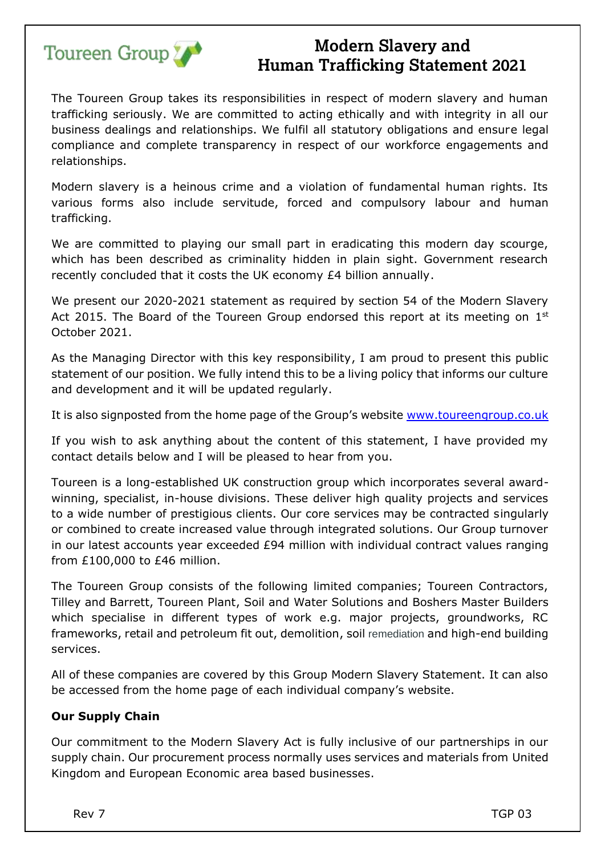

The Toureen Group takes its responsibilities in respect of modern slavery and human trafficking seriously. We are committed to acting ethically and with integrity in all our business dealings and relationships. We fulfil all statutory obligations and ensure legal compliance and complete transparency in respect of our workforce engagements and relationships.

Modern slavery is a heinous crime and a violation of fundamental human rights. Its various forms also include servitude, forced and compulsory labour and human trafficking.

We are committed to playing our small part in eradicating this modern day scourge, which has been described as criminality hidden in plain sight. Government research recently concluded that it costs the UK economy £4 billion annually.

We present our 2020-2021 statement as required by section 54 of the Modern Slavery Act 2015. The Board of the Toureen Group endorsed this report at its meeting on  $1<sup>st</sup>$ October 2021.

As the Managing Director with this key responsibility, I am proud to present this public statement of our position. We fully intend this to be a living policy that informs our culture and development and it will be updated regularly.

It is also signposted from the home page of the Group's website www.toureengroup.co.uk

If you wish to ask anything about the content of this statement, I have provided my contact details below and I will be pleased to hear from you.

Toureen is a long-established UK construction group which incorporates several awardwinning, specialist, in-house divisions. These deliver high quality projects and services to a wide number of prestigious clients. Our core services may be contracted singularly or combined to create increased value through integrated solutions. Our Group turnover in our latest accounts year exceeded £94 million with individual contract values ranging from £100,000 to £46 million.

The Toureen Group consists of the following limited companies; Toureen Contractors, Tilley and Barrett, Toureen Plant, Soil and Water Solutions and Boshers Master Builders which specialise in different types of work e.g. major projects, groundworks, RC frameworks, retail and petroleum fit out, demolition, soil remediation and high-end building services.

All of these companies are covered by this Group Modern Slavery Statement. It can also be accessed from the home page of each individual company's website.

### **Our Supply Chain**

Our commitment to the Modern Slavery Act is fully inclusive of our partnerships in our supply chain. Our procurement process normally uses services and materials from United Kingdom and European Economic area based businesses.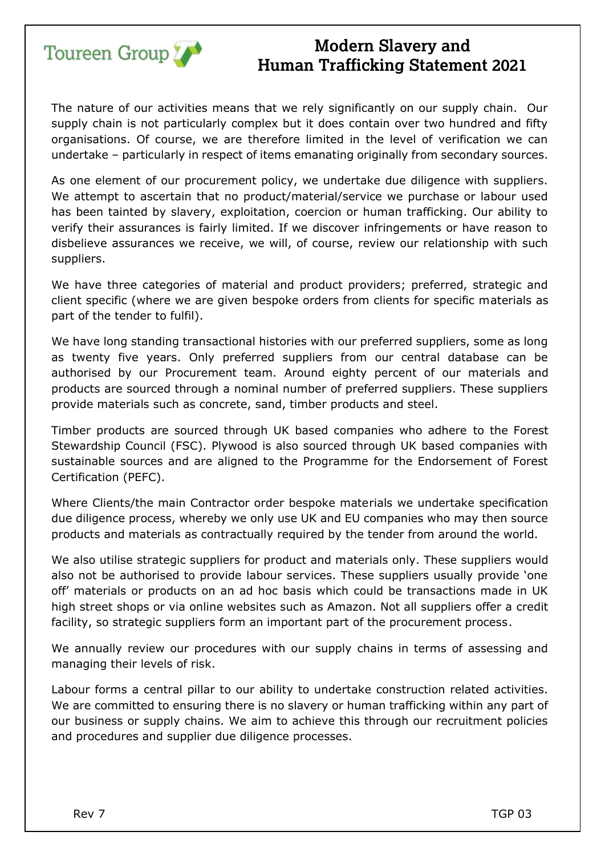

The nature of our activities means that we rely significantly on our supply chain. Our supply chain is not particularly complex but it does contain over two hundred and fifty organisations. Of course, we are therefore limited in the level of verification we can undertake – particularly in respect of items emanating originally from secondary sources.

As one element of our procurement policy, we undertake due diligence with suppliers. We attempt to ascertain that no product/material/service we purchase or labour used has been tainted by slavery, exploitation, coercion or human trafficking. Our ability to verify their assurances is fairly limited. If we discover infringements or have reason to disbelieve assurances we receive, we will, of course, review our relationship with such suppliers.

We have three categories of material and product providers; preferred, strategic and client specific (where we are given bespoke orders from clients for specific materials as part of the tender to fulfil).

We have long standing transactional histories with our preferred suppliers, some as long as twenty five years. Only preferred suppliers from our central database can be authorised by our Procurement team. Around eighty percent of our materials and products are sourced through a nominal number of preferred suppliers. These suppliers provide materials such as concrete, sand, timber products and steel.

Timber products are sourced through UK based companies who adhere to the Forest Stewardship Council (FSC). Plywood is also sourced through UK based companies with sustainable sources and are aligned to the Programme for the Endorsement of Forest Certification (PEFC).

Where Clients/the main Contractor order bespoke materials we undertake specification due diligence process, whereby we only use UK and EU companies who may then source products and materials as contractually required by the tender from around the world.

We also utilise strategic suppliers for product and materials only. These suppliers would also not be authorised to provide labour services. These suppliers usually provide 'one off' materials or products on an ad hoc basis which could be transactions made in UK high street shops or via online websites such as Amazon. Not all suppliers offer a credit facility, so strategic suppliers form an important part of the procurement process.

We annually review our procedures with our supply chains in terms of assessing and managing their levels of risk.

Labour forms a central pillar to our ability to undertake construction related activities. We are committed to ensuring there is no slavery or human trafficking within any part of our business or supply chains. We aim to achieve this through our recruitment policies and procedures and supplier due diligence processes.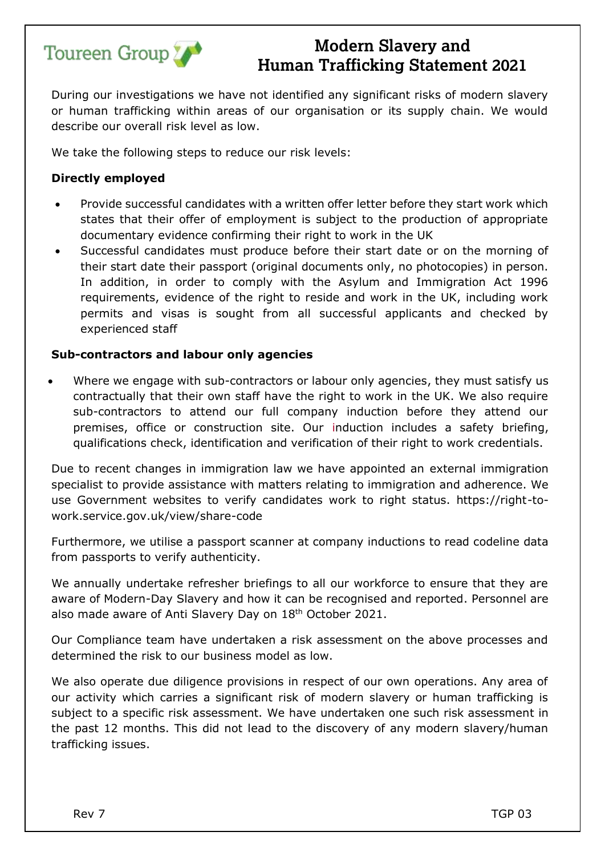

During our investigations we have not identified any significant risks of modern slavery or human trafficking within areas of our organisation or its supply chain. We would describe our overall risk level as low.

We take the following steps to reduce our risk levels:

### **Directly employed**

- Provide successful candidates with a written offer letter before they start work which states that their offer of employment is subject to the production of appropriate documentary evidence confirming their right to work in the UK
- Successful candidates must produce before their start date or on the morning of their start date their passport (original documents only, no photocopies) in person. In addition, in order to comply with the Asylum and Immigration Act 1996 requirements, evidence of the right to reside and work in the UK, including work permits and visas is sought from all successful applicants and checked by experienced staff

### **Sub-contractors and labour only agencies**

Where we engage with sub-contractors or labour only agencies, they must satisfy us contractually that their own staff have the right to work in the UK. We also require sub-contractors to attend our full company induction before they attend our premises, office or construction site. Our induction includes a safety briefing, qualifications check, identification and verification of their right to work credentials.

Due to recent changes in immigration law we have appointed an external immigration specialist to provide assistance with matters relating to immigration and adherence. We use Government websites to verify candidates work to right status. https://right-towork.service.gov.uk/view/share-code

Furthermore, we utilise a passport scanner at company inductions to read codeline data from passports to verify authenticity.

We annually undertake refresher briefings to all our workforce to ensure that they are aware of Modern-Day Slavery and how it can be recognised and reported. Personnel are also made aware of Anti Slavery Day on 18th October 2021.

Our Compliance team have undertaken a risk assessment on the above processes and determined the risk to our business model as low.

We also operate due diligence provisions in respect of our own operations. Any area of our activity which carries a significant risk of modern slavery or human trafficking is subject to a specific risk assessment. We have undertaken one such risk assessment in the past 12 months. This did not lead to the discovery of any modern slavery/human trafficking issues.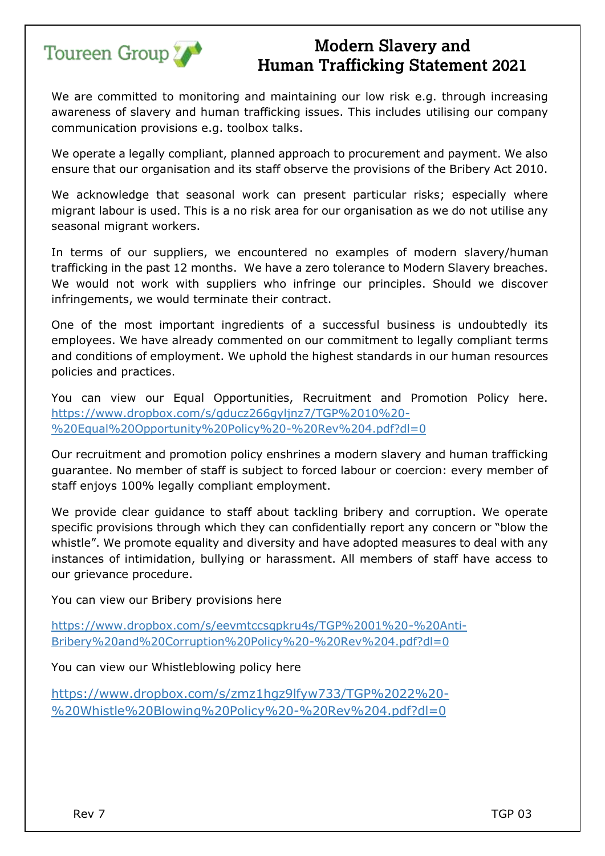

We are committed to monitoring and maintaining our low risk e.g. through increasing awareness of slavery and human trafficking issues. This includes utilising our company communication provisions e.g. toolbox talks.

We operate a legally compliant, planned approach to procurement and payment. We also ensure that our organisation and its staff observe the provisions of the Bribery Act 2010.

We acknowledge that seasonal work can present particular risks; especially where migrant labour is used. This is a no risk area for our organisation as we do not utilise any seasonal migrant workers.

In terms of our suppliers, we encountered no examples of modern slavery/human trafficking in the past 12 months. We have a zero tolerance to Modern Slavery breaches. We would not work with suppliers who infringe our principles. Should we discover infringements, we would terminate their contract.

One of the most important ingredients of a successful business is undoubtedly its employees. We have already commented on our commitment to legally compliant terms and conditions of employment. We uphold the highest standards in our human resources policies and practices.

You can view our Equal Opportunities, Recruitment and Promotion Policy here. [https://www.dropbox.com/s/gducz266gyljnz7/TGP%2010%20-](https://www.dropbox.com/s/gducz266gyljnz7/TGP%2010%20-%20Equal%20Opportunity%20Policy%20-%20Rev%204.pdf?dl=0) [%20Equal%20Opportunity%20Policy%20-%20Rev%204.pdf?dl=0](https://www.dropbox.com/s/gducz266gyljnz7/TGP%2010%20-%20Equal%20Opportunity%20Policy%20-%20Rev%204.pdf?dl=0)

Our recruitment and promotion policy enshrines a modern slavery and human trafficking guarantee. No member of staff is subject to forced labour or coercion: every member of staff enjoys 100% legally compliant employment.

We provide clear guidance to staff about tackling bribery and corruption. We operate specific provisions through which they can confidentially report any concern or "blow the whistle". We promote equality and diversity and have adopted measures to deal with any instances of intimidation, bullying or harassment. All members of staff have access to our grievance procedure.

You can view our Bribery provisions here

https://www.dropbox.com/s/eevmtccsqpkru4s/TGP%2001%20-%20Anti-Bribery%20and%20Corruption%20Policy%20-%20Rev%204.pdf?dl=0

You can view our Whistleblowing policy here

https://www.dropbox.com/s/zmz1hgz9lfyw733/TGP%2022%20- %20Whistle%20Blowing%20Policy%20-%20Rev%204.pdf?dl=0